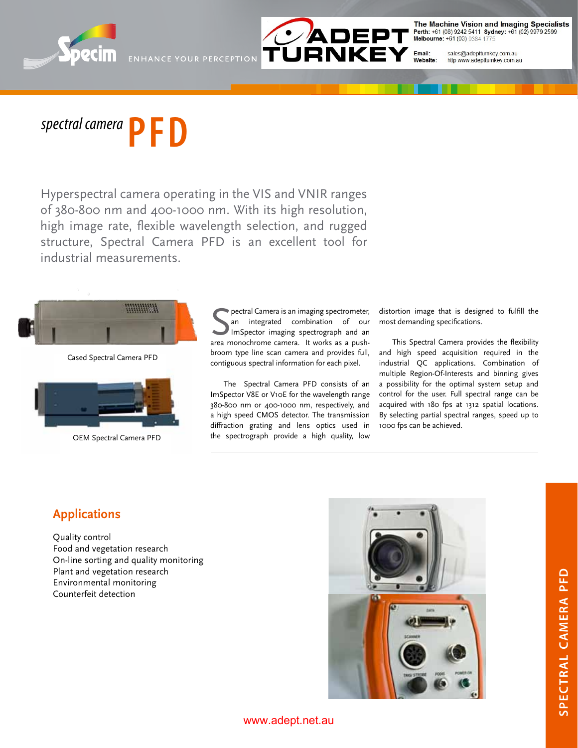



The Machine Vision and Imaging Specialists Perth: +61 (08) 9242 5411 Sydney: +61 (02) 9979 2599<br>Melbourne: +61 (03) 9384 1775

Email: sales@adeptturnkey.com.au Website: http:www.adeptturnkey.com.au

# **spectral camera PFD**

Hyperspectral camera operating in the VIS and VNIR ranges of 380-800 nm and 400-1000 nm. With its high resolution, high image rate, flexible wavelength selection, and rugged structure, Spectral Camera PFD is an excellent tool for industrial measurements.



Cased Spectral Camera PFD



OEM Spectral Camera PFD

**S** pectral Camera is an imaging spectrometer,<br>
an integrated combination of our<br>
ImSpector imaging spectrograph and an<br>
area monochrome camera. It works as a pushpectral Camera is an imaging spectrometer, an integrated combination of our ImSpector imaging spectrograph and an broom type line scan camera and provides full, contiguous spectral information for each pixel.

The Spectral Camera PFD consists of an ImSpector V8E or V10E for the wavelength range 380-800 nm or 400-1000 nm, respectively, and a high speed CMOS detector. The transmission diffraction grating and lens optics used in the spectrograph provide a high quality, low

distortion image that is designed to fulfill the most demanding specifications.

This Spectral Camera provides the flexibility and high speed acquisition required in the industrial QC applications. Combination of multiple Region-Of-Interests and binning gives a possibility for the optimal system setup and control for the user. Full spectral range can be acquired with 180 fps at 1312 spatial locations. By selecting partial spectral ranges, speed up to 1000 fps can be achieved.

# **Applications**

Quality control Food and vegetation research On-line sorting and quality monitoring Plant and vegetation research Environmental monitoring Counterfeit detection



### www.adept.net.au